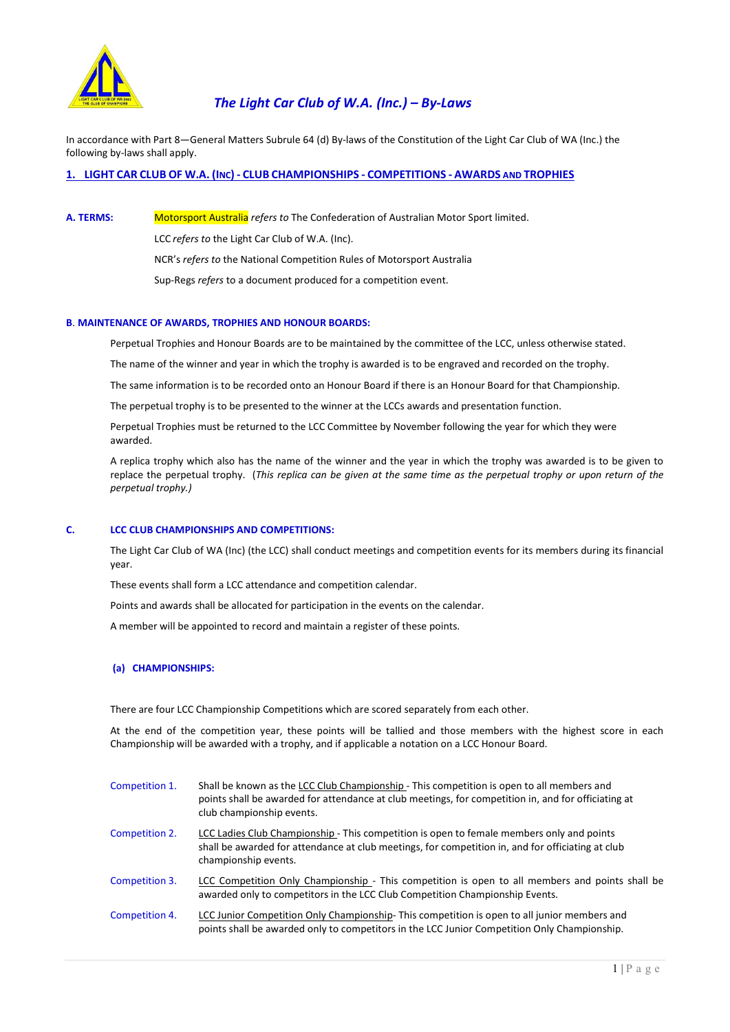

In accordance with Part 8—General Matters Subrule 64 (d) By-laws of the Constitution of the Light Car Club of WA (Inc.) the following by-laws shall apply.

1. LIGHT CAR CLUB OF W.A. (INC) - CLUB CHAMPIONSHIPS - COMPETITIONS - AWARDS AND TROPHIES

A. TERMS: Motorsport Australia refers to The Confederation of Australian Motor Sport limited.

LCC refers to the Light Car Club of W.A. (Inc).

NCR's refers to the National Competition Rules of Motorsport Australia

Sup-Regs refers to a document produced for a competition event.

# B. MAINTENANCE OF AWARDS, TROPHIES AND HONOUR BOARDS:

Perpetual Trophies and Honour Boards are to be maintained by the committee of the LCC, unless otherwise stated.

The name of the winner and year in which the trophy is awarded is to be engraved and recorded on the trophy.

The same information is to be recorded onto an Honour Board if there is an Honour Board for that Championship.

The perpetual trophy is to be presented to the winner at the LCCs awards and presentation function.

 Perpetual Trophies must be returned to the LCC Committee by November following the year for which they were awarded.

 A replica trophy which also has the name of the winner and the year in which the trophy was awarded is to be given to replace the perpetual trophy. (This replica can be given at the same time as the perpetual trophy or upon return of the perpetual trophy.)

## C. LCC CLUB CHAMPIONSHIPS AND COMPETITIONS:

 The Light Car Club of WA (Inc) (the LCC) shall conduct meetings and competition events for its members during its financial year.

These events shall form a LCC attendance and competition calendar.

Points and awards shall be allocated for participation in the events on the calendar.

A member will be appointed to record and maintain a register of these points.

## (a) CHAMPIONSHIPS:

There are four LCC Championship Competitions which are scored separately from each other.

 At the end of the competition year, these points will be tallied and those members with the highest score in each Championship will be awarded with a trophy, and if applicable a notation on a LCC Honour Board.

| Competition 1. | Shall be known as the LCC Club Championship - This competition is open to all members and<br>points shall be awarded for attendance at club meetings, for competition in, and for officiating at<br>club championship events. |
|----------------|-------------------------------------------------------------------------------------------------------------------------------------------------------------------------------------------------------------------------------|
| Competition 2. | LCC Ladies Club Championship - This competition is open to female members only and points<br>shall be awarded for attendance at club meetings, for competition in, and for officiating at club<br>championship events.        |
| Competition 3. | LCC Competition Only Championship - This competition is open to all members and points shall be<br>awarded only to competitors in the LCC Club Competition Championship Events.                                               |
| Competition 4. | LCC Junior Competition Only Championship-This competition is open to all junior members and<br>points shall be awarded only to competitors in the LCC Junior Competition Only Championship.                                   |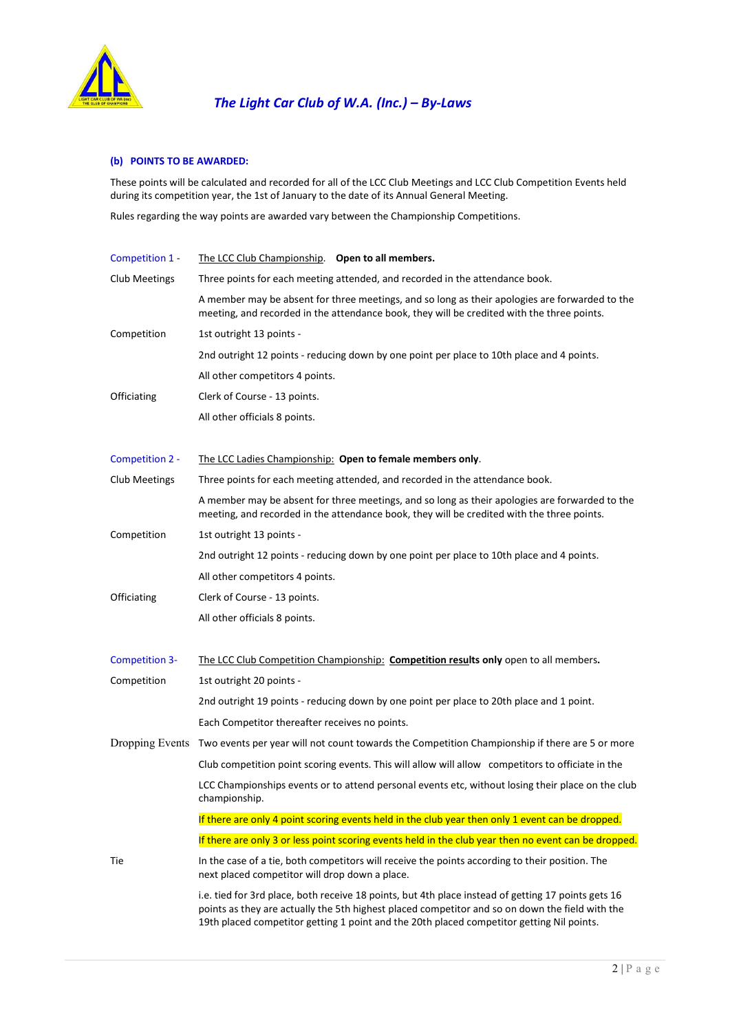

# (b) POINTS TO BE AWARDED:

These points will be calculated and recorded for all of the LCC Club Meetings and LCC Club Competition Events held during its competition year, the 1st of January to the date of its Annual General Meeting.

Rules regarding the way points are awarded vary between the Championship Competitions.

| Competition 1 - | The LCC Club Championship. Open to all members.                                                                                                                                                                                                                                                     |
|-----------------|-----------------------------------------------------------------------------------------------------------------------------------------------------------------------------------------------------------------------------------------------------------------------------------------------------|
| Club Meetings   | Three points for each meeting attended, and recorded in the attendance book.                                                                                                                                                                                                                        |
|                 | A member may be absent for three meetings, and so long as their apologies are forwarded to the<br>meeting, and recorded in the attendance book, they will be credited with the three points.                                                                                                        |
| Competition     | 1st outright 13 points -                                                                                                                                                                                                                                                                            |
|                 | 2nd outright 12 points - reducing down by one point per place to 10th place and 4 points.                                                                                                                                                                                                           |
|                 | All other competitors 4 points.                                                                                                                                                                                                                                                                     |
| Officiating     | Clerk of Course - 13 points.                                                                                                                                                                                                                                                                        |
|                 | All other officials 8 points.                                                                                                                                                                                                                                                                       |
| Competition 2 - | The LCC Ladies Championship: Open to female members only.                                                                                                                                                                                                                                           |
| Club Meetings   | Three points for each meeting attended, and recorded in the attendance book.                                                                                                                                                                                                                        |
|                 | A member may be absent for three meetings, and so long as their apologies are forwarded to the<br>meeting, and recorded in the attendance book, they will be credited with the three points.                                                                                                        |
| Competition     | 1st outright 13 points -                                                                                                                                                                                                                                                                            |
|                 | 2nd outright 12 points - reducing down by one point per place to 10th place and 4 points.                                                                                                                                                                                                           |
|                 | All other competitors 4 points.                                                                                                                                                                                                                                                                     |
| Officiating     | Clerk of Course - 13 points.                                                                                                                                                                                                                                                                        |
|                 | All other officials 8 points.                                                                                                                                                                                                                                                                       |
| Competition 3-  | The LCC Club Competition Championship: Competition results only open to all members.                                                                                                                                                                                                                |
| Competition     | 1st outright 20 points -                                                                                                                                                                                                                                                                            |
|                 | 2nd outright 19 points - reducing down by one point per place to 20th place and 1 point.                                                                                                                                                                                                            |
|                 | Each Competitor thereafter receives no points.                                                                                                                                                                                                                                                      |
| Dropping Events | Two events per year will not count towards the Competition Championship if there are 5 or more                                                                                                                                                                                                      |
|                 | Club competition point scoring events. This will allow will allow competitors to officiate in the                                                                                                                                                                                                   |
|                 | LCC Championships events or to attend personal events etc, without losing their place on the club<br>championship.                                                                                                                                                                                  |
|                 | If there are only 4 point scoring events held in the club year then only 1 event can be dropped.                                                                                                                                                                                                    |
|                 | If there are only 3 or less point scoring events held in the club year then no event can be dropped.                                                                                                                                                                                                |
| Tie             | In the case of a tie, both competitors will receive the points according to their position. The<br>next placed competitor will drop down a place.                                                                                                                                                   |
|                 | i.e. tied for 3rd place, both receive 18 points, but 4th place instead of getting 17 points gets 16<br>points as they are actually the 5th highest placed competitor and so on down the field with the<br>19th placed competitor getting 1 point and the 20th placed competitor getting Nil points. |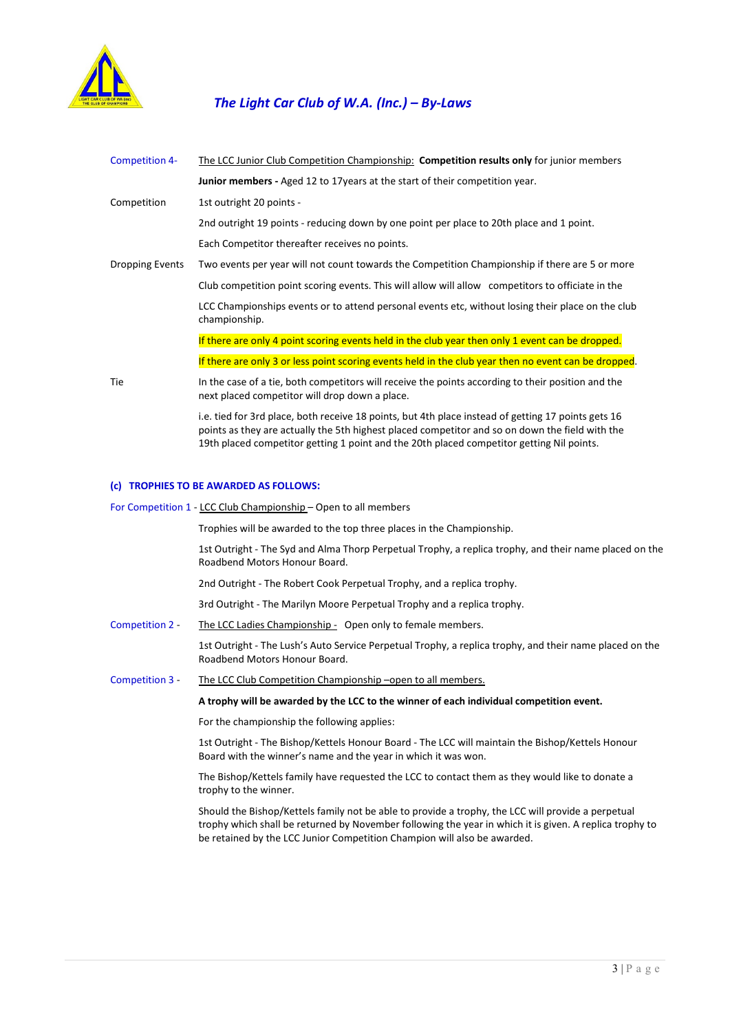

| Competition 4-  | The LCC Junior Club Competition Championship: Competition results only for junior members                                                                                                              |
|-----------------|--------------------------------------------------------------------------------------------------------------------------------------------------------------------------------------------------------|
|                 | Junior members - Aged 12 to 17 years at the start of their competition year.                                                                                                                           |
| Competition     | 1st outright 20 points -                                                                                                                                                                               |
|                 | 2nd outright 19 points - reducing down by one point per place to 20th place and 1 point.                                                                                                               |
|                 | Each Competitor thereafter receives no points.                                                                                                                                                         |
| Dropping Events | Two events per year will not count towards the Competition Championship if there are 5 or more                                                                                                         |
|                 | Club competition point scoring events. This will allow will allow competitors to officiate in the                                                                                                      |
|                 | LCC Championships events or to attend personal events etc, without losing their place on the club<br>championship.                                                                                     |
|                 | If there are only 4 point scoring events held in the club year then only 1 event can be dropped.                                                                                                       |
|                 | If there are only 3 or less point scoring events held in the club year then no event can be dropped.                                                                                                   |
| Tie             | In the case of a tie, both competitors will receive the points according to their position and the<br>next placed competitor will drop down a place.                                                   |
|                 | i.e. tied for 3rd place, both receive 18 points, but 4th place instead of getting 17 points gets 16<br>points as they are actually the 5th highest placed competitor and so on down the field with the |

19th placed competitor getting 1 point and the 20th placed competitor getting Nil points.

## (c) TROPHIES TO BE AWARDED AS FOLLOWS:

For Competition 1 - LCC Club Championship – Open to all members

Trophies will be awarded to the top three places in the Championship.

 1st Outright - The Syd and Alma Thorp Perpetual Trophy, a replica trophy, and their name placed on the Roadbend Motors Honour Board.

2nd Outright - The Robert Cook Perpetual Trophy, and a replica trophy.

3rd Outright - The Marilyn Moore Perpetual Trophy and a replica trophy.

Competition 2 - The LCC Ladies Championship - Open only to female members.

 1st Outright - The Lush's Auto Service Perpetual Trophy, a replica trophy, and their name placed on the Roadbend Motors Honour Board.

Competition 3 - The LCC Club Competition Championship –open to all members.

#### A trophy will be awarded by the LCC to the winner of each individual competition event.

For the championship the following applies:

 1st Outright - The Bishop/Kettels Honour Board - The LCC will maintain the Bishop/Kettels Honour Board with the winner's name and the year in which it was won.

 The Bishop/Kettels family have requested the LCC to contact them as they would like to donate a trophy to the winner.

 Should the Bishop/Kettels family not be able to provide a trophy, the LCC will provide a perpetual trophy which shall be returned by November following the year in which it is given. A replica trophy to be retained by the LCC Junior Competition Champion will also be awarded.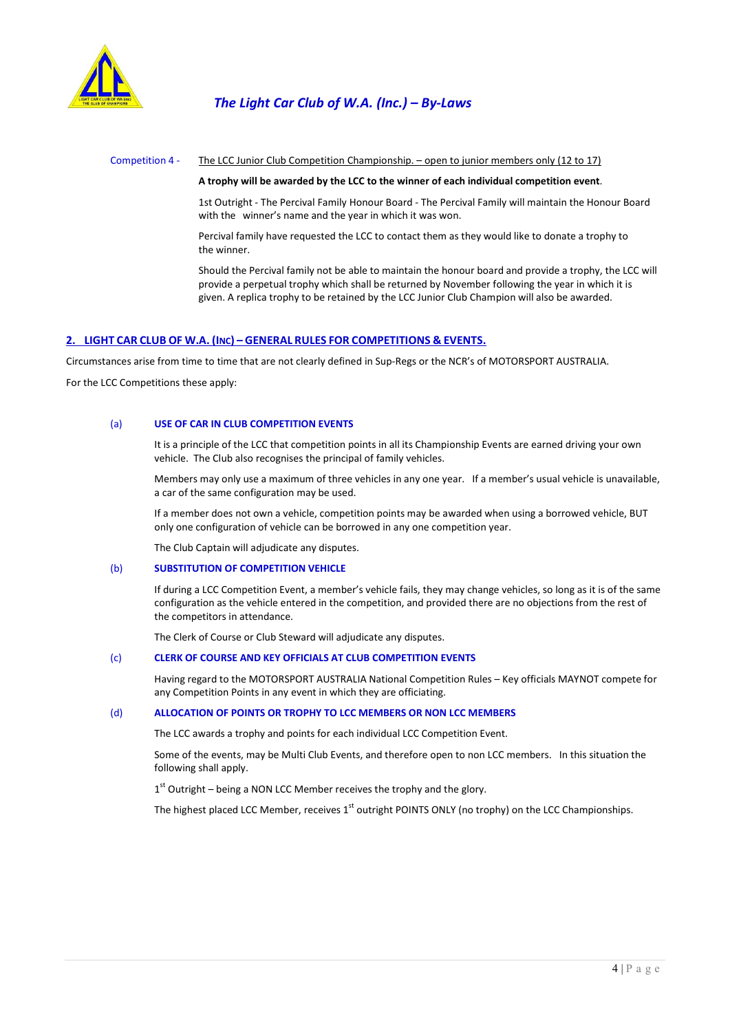

#### Competition 4 - The LCC Junior Club Competition Championship. – open to junior members only (12 to 17)

#### A trophy will be awarded by the LCC to the winner of each individual competition event.

 1st Outright - The Percival Family Honour Board - The Percival Family will maintain the Honour Board with the winner's name and the year in which it was won.

 Percival family have requested the LCC to contact them as they would like to donate a trophy to the winner.

 Should the Percival family not be able to maintain the honour board and provide a trophy, the LCC will provide a perpetual trophy which shall be returned by November following the year in which it is given. A replica trophy to be retained by the LCC Junior Club Champion will also be awarded.

# 2. LIGHT CAR CLUB OF W.A. (INC) – GENERAL RULES FOR COMPETITIONS & EVENTS.

Circumstances arise from time to time that are not clearly defined in Sup-Regs or the NCR's of MOTORSPORT AUSTRALIA.

For the LCC Competitions these apply:

# (a) USE OF CAR IN CLUB COMPETITION EVENTS

 It is a principle of the LCC that competition points in all its Championship Events are earned driving your own vehicle. The Club also recognises the principal of family vehicles.

 Members may only use a maximum of three vehicles in any one year. If a member's usual vehicle is unavailable, a car of the same configuration may be used.

 If a member does not own a vehicle, competition points may be awarded when using a borrowed vehicle, BUT only one configuration of vehicle can be borrowed in any one competition year.

The Club Captain will adjudicate any disputes.

## (b) SUBSTITUTION OF COMPETITION VEHICLE

 If during a LCC Competition Event, a member's vehicle fails, they may change vehicles, so long as it is of the same configuration as the vehicle entered in the competition, and provided there are no objections from the rest of the competitors in attendance.

The Clerk of Course or Club Steward will adjudicate any disputes.

## (c) CLERK OF COURSE AND KEY OFFICIALS AT CLUB COMPETITION EVENTS

Having regard to the MOTORSPORT AUSTRALIA National Competition Rules – Key officials MAYNOT compete for any Competition Points in any event in which they are officiating.

#### (d) ALLOCATION OF POINTS OR TROPHY TO LCC MEMBERS OR NON LCC MEMBERS

The LCC awards a trophy and points for each individual LCC Competition Event.

 Some of the events, may be Multi Club Events, and therefore open to non LCC members. In this situation the following shall apply.

 $1<sup>st</sup>$  Outright – being a NON LCC Member receives the trophy and the glory.

The highest placed LCC Member, receives  $1<sup>st</sup>$  outright POINTS ONLY (no trophy) on the LCC Championships.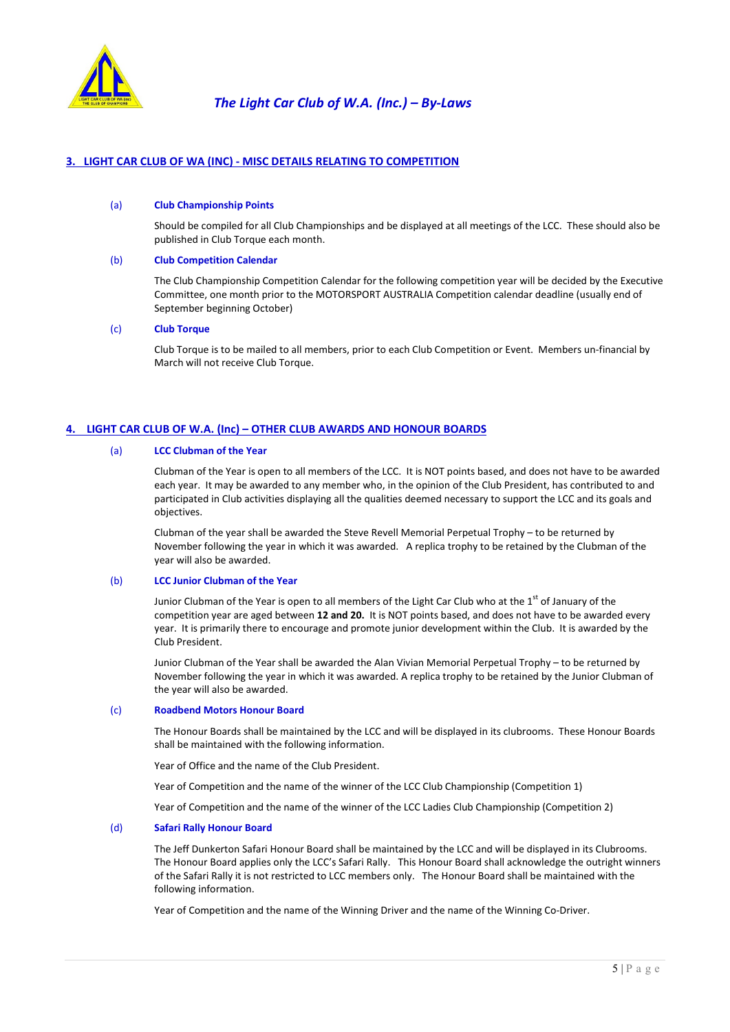

# 3. LIGHT CAR CLUB OF WA (INC) - MISC DETAILS RELATING TO COMPETITION

#### (a) Club Championship Points

 Should be compiled for all Club Championships and be displayed at all meetings of the LCC. These should also be published in Club Torque each month.

#### (b) Club Competition Calendar

The Club Championship Competition Calendar for the following competition year will be decided by the Executive Committee, one month prior to the MOTORSPORT AUSTRALIA Competition calendar deadline (usually end of September beginning October)

### (c) Club Torque

 Club Torque is to be mailed to all members, prior to each Club Competition or Event. Members un-financial by March will not receive Club Torque.

# 4. LIGHT CAR CLUB OF W.A. (Inc) – OTHER CLUB AWARDS AND HONOUR BOARDS

## (a) LCC Clubman of the Year

 Clubman of the Year is open to all members of the LCC. It is NOT points based, and does not have to be awarded each year. It may be awarded to any member who, in the opinion of the Club President, has contributed to and participated in Club activities displaying all the qualities deemed necessary to support the LCC and its goals and objectives.

 Clubman of the year shall be awarded the Steve Revell Memorial Perpetual Trophy – to be returned by November following the year in which it was awarded. A replica trophy to be retained by the Clubman of the year will also be awarded.

#### (b) LCC Junior Clubman of the Year

Junior Clubman of the Year is open to all members of the Light Car Club who at the 1<sup>st</sup> of January of the competition year are aged between 12 and 20. It is NOT points based, and does not have to be awarded every year. It is primarily there to encourage and promote junior development within the Club. It is awarded by the Club President.

 Junior Clubman of the Year shall be awarded the Alan Vivian Memorial Perpetual Trophy – to be returned by November following the year in which it was awarded. A replica trophy to be retained by the Junior Clubman of the year will also be awarded.

#### (c) Roadbend Motors Honour Board

 The Honour Boards shall be maintained by the LCC and will be displayed in its clubrooms. These Honour Boards shall be maintained with the following information.

Year of Office and the name of the Club President.

Year of Competition and the name of the winner of the LCC Club Championship (Competition 1)

Year of Competition and the name of the winner of the LCC Ladies Club Championship (Competition 2)

#### (d) Safari Rally Honour Board

 The Jeff Dunkerton Safari Honour Board shall be maintained by the LCC and will be displayed in its Clubrooms. The Honour Board applies only the LCC's Safari Rally. This Honour Board shall acknowledge the outright winners of the Safari Rally it is not restricted to LCC members only. The Honour Board shall be maintained with the following information.

Year of Competition and the name of the Winning Driver and the name of the Winning Co-Driver.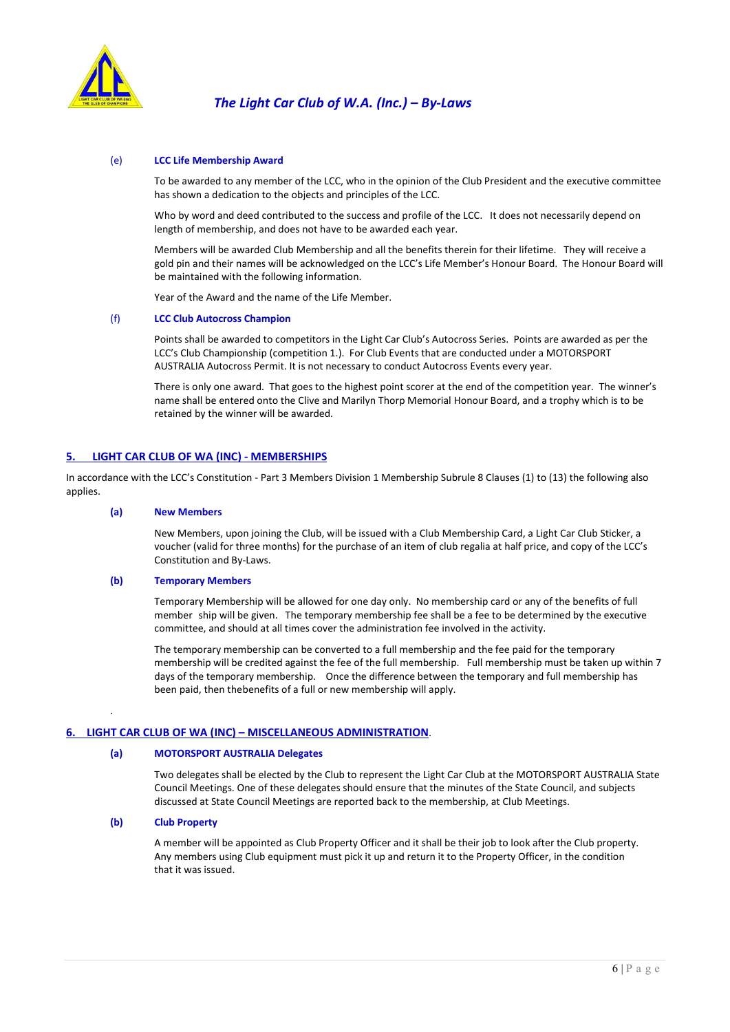

## (e) LCC Life Membership Award

 To be awarded to any member of the LCC, who in the opinion of the Club President and the executive committee has shown a dedication to the objects and principles of the LCC.

 Who by word and deed contributed to the success and profile of the LCC. It does not necessarily depend on length of membership, and does not have to be awarded each year.

 Members will be awarded Club Membership and all the benefits therein for their lifetime. They will receive a gold pin and their names will be acknowledged on the LCC's Life Member's Honour Board. The Honour Board will be maintained with the following information.

Year of the Award and the name of the Life Member.

#### (f) LCC Club Autocross Champion

Points shall be awarded to competitors in the Light Car Club's Autocross Series. Points are awarded as per the LCC's Club Championship (competition 1.). For Club Events that are conducted under a MOTORSPORT AUSTRALIA Autocross Permit. It is not necessary to conduct Autocross Events every year.

 There is only one award. That goes to the highest point scorer at the end of the competition year. The winner's name shall be entered onto the Clive and Marilyn Thorp Memorial Honour Board, and a trophy which is to be retained by the winner will be awarded.

### 5. LIGHT CAR CLUB OF WA (INC) - MEMBERSHIPS

In accordance with the LCC's Constitution - Part 3 Members Division 1 Membership Subrule 8 Clauses (1) to (13) the following also applies.

#### (a) New Members

 New Members, upon joining the Club, will be issued with a Club Membership Card, a Light Car Club Sticker, a voucher (valid for three months) for the purchase of an item of club regalia at half price, and copy of the LCC's Constitution and By-Laws.

#### (b) Temporary Members

 Temporary Membership will be allowed for one day only. No membership card or any of the benefits of full member ship will be given. The temporary membership fee shall be a fee to be determined by the executive committee, and should at all times cover the administration fee involved in the activity.

 The temporary membership can be converted to a full membership and the fee paid for the temporary membership will be credited against the fee of the full membership. Full membership must be taken up within 7 days of the temporary membership. Once the difference between the temporary and full membership has been paid, then the benefits of a full or new membership will apply.

#### 6. LIGHT CAR CLUB OF WA (INC) – MISCELLANEOUS ADMINISTRATION.

#### (a) MOTORSPORT AUSTRALIA Delegates

Two delegates shall be elected by the Club to represent the Light Car Club at the MOTORSPORT AUSTRALIA State Council Meetings. One of these delegates should ensure that the minutes of the State Council, and subjects discussed at State Council Meetings are reported back to the membership, at Club Meetings.

## (b) Club Property

.

 A member will be appointed as Club Property Officer and it shall be their job to look after the Club property. Any members using Club equipment must pick it up and return it to the Property Officer, in the condition that it was issued.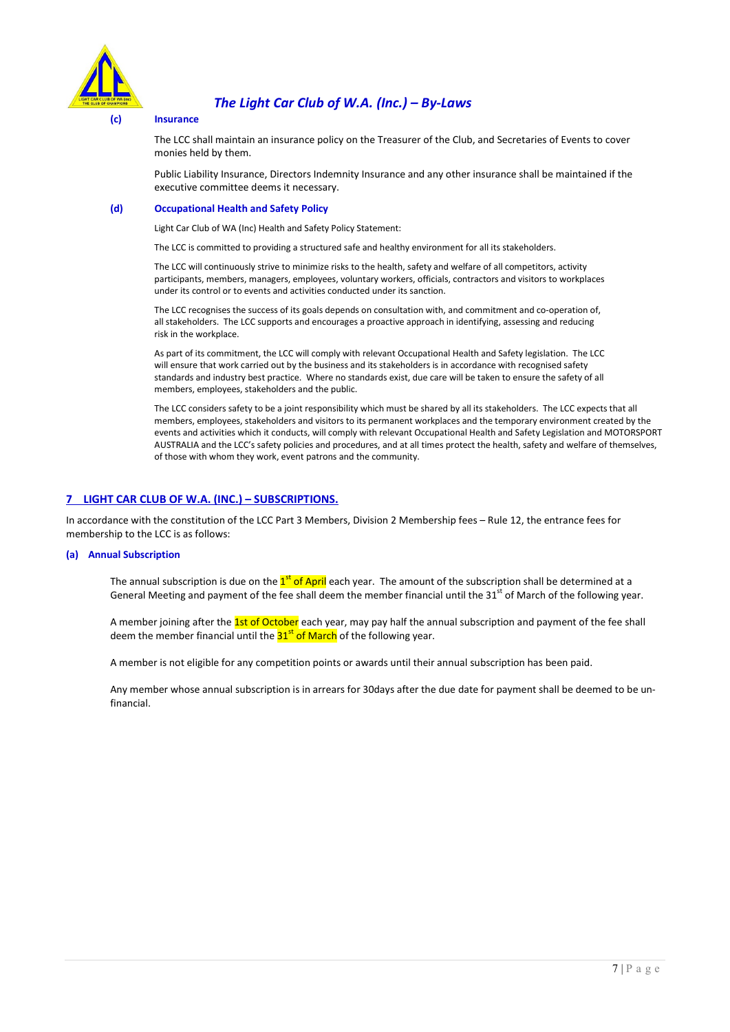

# (c) Insurance

 The LCC shall maintain an insurance policy on the Treasurer of the Club, and Secretaries of Events to cover monies held by them.

 Public Liability Insurance, Directors Indemnity Insurance and any other insurance shall be maintained if the executive committee deems it necessary.

## (d) Occupational Health and Safety Policy

Light Car Club of WA (Inc) Health and Safety Policy Statement:

The LCC is committed to providing a structured safe and healthy environment for all its stakeholders.

 The LCC will continuously strive to minimize risks to the health, safety and welfare of all competitors, activity participants, members, managers, employees, voluntary workers, officials, contractors and visitors to workplaces under its control or to events and activities conducted under its sanction.

 The LCC recognises the success of its goals depends on consultation with, and commitment and co-operation of, all stakeholders. The LCC supports and encourages a proactive approach in identifying, assessing and reducing risk in the workplace.

 As part of its commitment, the LCC will comply with relevant Occupational Health and Safety legislation. The LCC will ensure that work carried out by the business and its stakeholders is in accordance with recognised safety standards and industry best practice. Where no standards exist, due care will be taken to ensure the safety of all members, employees, stakeholders and the public.

The LCC considers safety to be a joint responsibility which must be shared by all its stakeholders. The LCC expects that all members, employees, stakeholders and visitors to its permanent workplaces and the temporary environment created by the events and activities which it conducts, will comply with relevant Occupational Health and Safety Legislation and MOTORSPORT AUSTRALIA and the LCC's safety policies and procedures, and at all times protect the health, safety and welfare of themselves, of those with whom they work, event patrons and the community.

# 7 LIGHT CAR CLUB OF W.A. (INC.) – SUBSCRIPTIONS.

In accordance with the constitution of the LCC Part 3 Members, Division 2 Membership fees – Rule 12, the entrance fees for membership to the LCC is as follows:

### (a) Annual Subscription

The annual subscription is due on the 1<sup>st</sup> of April each year. The amount of the subscription shall be determined at a General Meeting and payment of the fee shall deem the member financial until the 31<sup>st</sup> of March of the following year.

A member joining after the 1st of October each year, may pay half the annual subscription and payment of the fee shall deem the member financial until the  $31<sup>st</sup>$  of March of the following year.

A member is not eligible for any competition points or awards until their annual subscription has been paid.

Any member whose annual subscription is in arrears for 30days after the due date for payment shall be deemed to be unfinancial.